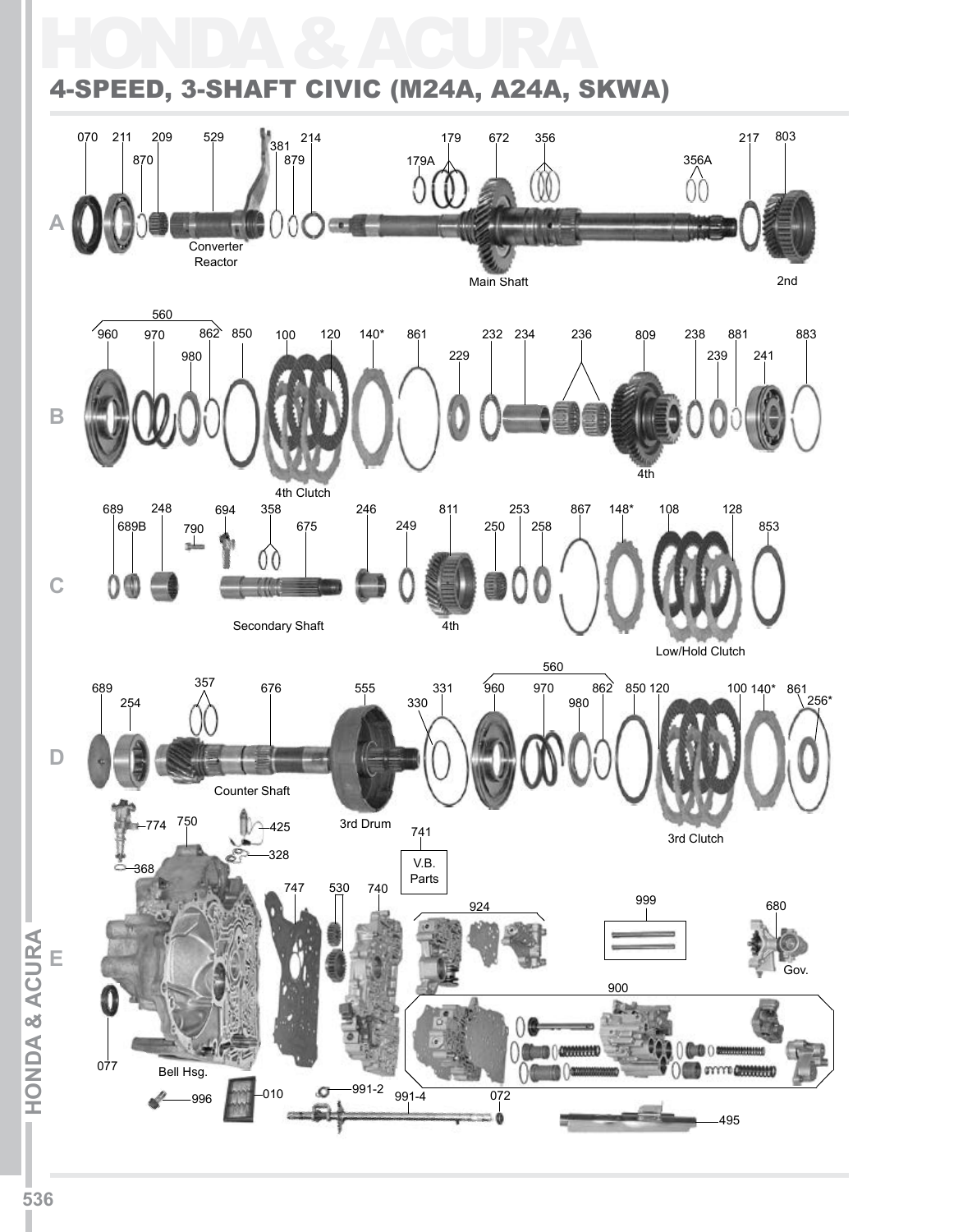